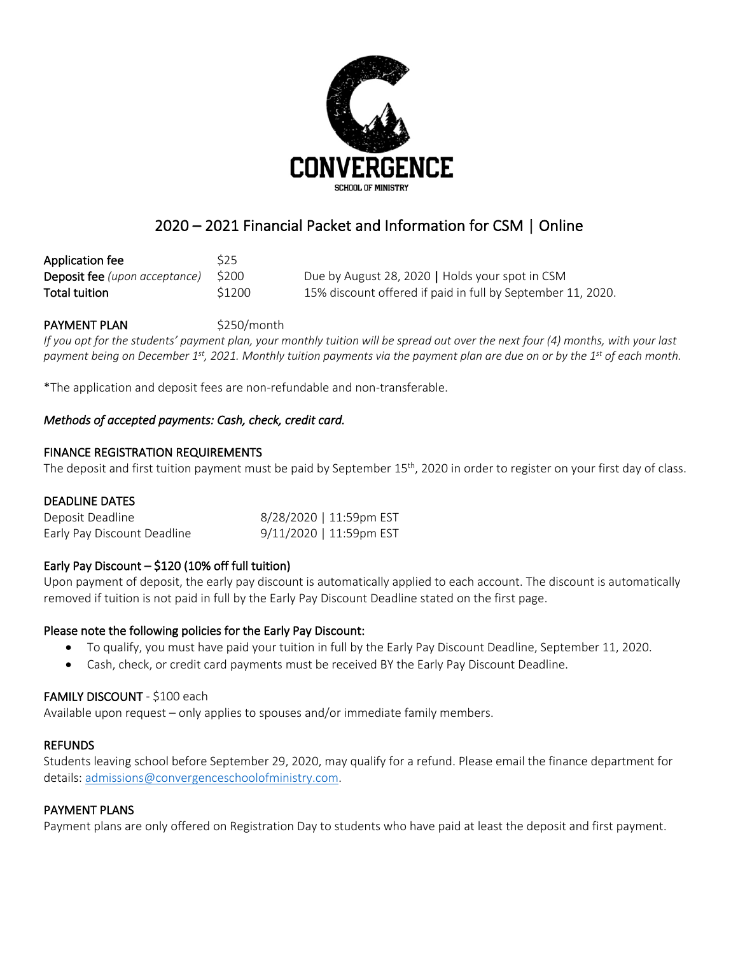

# 2020 – 2021 Financial Packet and Information for CSM | Online

| Application fee                      | <b>S25</b> |                                                             |
|--------------------------------------|------------|-------------------------------------------------------------|
| <b>Deposit fee</b> (upon acceptance) | S200       | Due by August 28, 2020   Holds your spot in CSM             |
| Total tuition                        | \$1200     | 15% discount offered if paid in full by September 11, 2020. |

## PAYMENT PLAN \$250/month

*If you opt for the students' payment plan, your monthly tuition will be spread out over the next four (4) months, with your last payment being on December 1st, 2021. Monthly tuition payments via the payment plan are due on or by the 1st of each month.*

\*The application and deposit fees are non-refundable and non-transferable.

### *Methods of accepted payments: Cash, check, credit card.*

#### FINANCE REGISTRATION REQUIREMENTS

The deposit and first tuition payment must be paid by September 15<sup>th</sup>, 2020 in order to register on your first day of class.

#### DEADLINE DATES

| Deposit Deadline            | 8/28/2020   11:59pm EST |
|-----------------------------|-------------------------|
| Early Pay Discount Deadline | 9/11/2020   11:59pm EST |

#### Early Pay Discount  $-$  \$120 (10% off full tuition)

Upon payment of deposit, the early pay discount is automatically applied to each account. The discount is automatically removed if tuition is not paid in full by the Early Pay Discount Deadline stated on the first page.

#### Please note the following policies for the Early Pay Discount:

- To qualify, you must have paid your tuition in full by the Early Pay Discount Deadline, September 11, 2020.
- Cash, check, or credit card payments must be received BY the Early Pay Discount Deadline.

#### FAMILY DISCOUNT - \$100 each

Available upon request – only applies to spouses and/or immediate family members.

#### **REFUNDS**

Students leaving school before September 29, 2020, may qualify for a refund. Please email the finance department for details: admissions@convergenceschoolofministry.com.

#### PAYMENT PLANS

Payment plans are only offered on Registration Day to students who have paid at least the deposit and first payment.